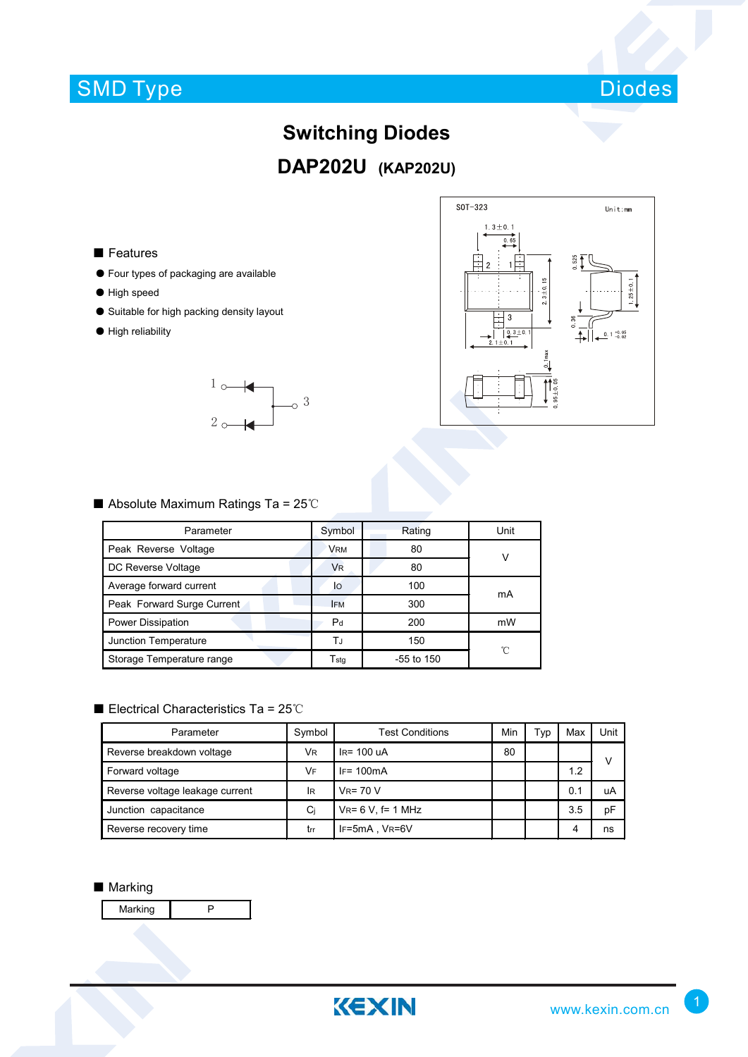## SMD Type



## **Switching Diodes DAP202U (KAP202U)**

#### ■ Features

- Four types of packaging are available
- High speed
- Suitable for high packing density layout
- High reliability





### ■ Absolute Maximum Ratings Ta = 25℃

| Parameter                  | Symbol                      | Rating       | Unit |  |
|----------------------------|-----------------------------|--------------|------|--|
| Peak Reverse Voltage       | <b>VRM</b>                  | 80           |      |  |
| DC Reverse Voltage         | <b>V<sub>R</sub></b>        | 80           |      |  |
| Average forward current    | lo                          | 100          | mA   |  |
| Peak Forward Surge Current | <b>IFM</b>                  | 300          |      |  |
| Power Dissipation          | P <sub>d</sub>              | 200          | mW   |  |
| Junction Temperature       | ΤJ                          | 150          | ℃    |  |
| Storage Temperature range  | $\mathsf{T}_{\mathsf{std}}$ | $-55$ to 150 |      |  |

### ■ Electrical Characteristics Ta = 25℃

| Parameter                       | Symbol    | <b>Test Conditions</b>   | Min | Typ | Max | Unit |
|---------------------------------|-----------|--------------------------|-----|-----|-----|------|
| Reverse breakdown voltage       | VR.       | $IR = 100$ uA            | 80  |     |     | v    |
| Forward voltage                 | <b>VF</b> | $IF = 100mA$             |     |     | 1.2 |      |
| Reverse voltage leakage current | lR        | $V_R = 70 V$             |     |     | 0.1 | uA   |
| Junction capacitance            | Ci        | $V_{R} = 6 V$ , f= 1 MHz |     |     | 3.5 | pF   |
| Reverse recovery time           | trr       | IF=5mA, VR=6V            |     |     | 4   | ns   |

### ■ Marking

Marking **P**